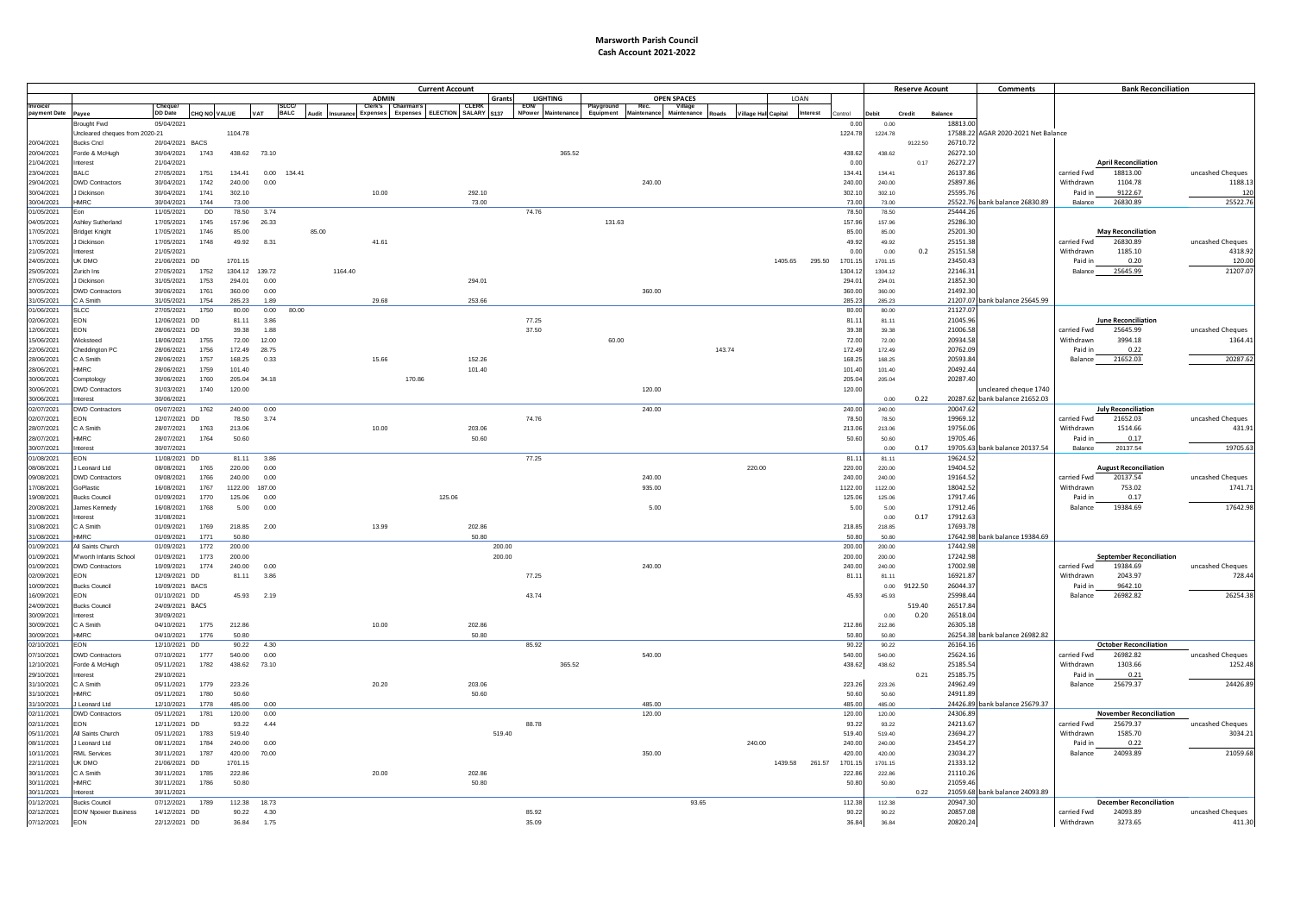## **Marsworth Parish Council Cash Account 2021-2022**

|                          |                                      | <b>Current Account</b>        |                     |                 |        |             |         |                              |        |                      |        |                    |        |           |            | <b>Reserve Acount</b> |        | <b>Comments</b>             |                   | <b>Bank Reconciliation</b> |                 |                |                      |                                     |                          |                                        |                            |
|--------------------------|--------------------------------------|-------------------------------|---------------------|-----------------|--------|-------------|---------|------------------------------|--------|----------------------|--------|--------------------|--------|-----------|------------|-----------------------|--------|-----------------------------|-------------------|----------------------------|-----------------|----------------|----------------------|-------------------------------------|--------------------------|----------------------------------------|----------------------------|
|                          |                                      |                               |                     |                 |        |             |         | <b>ADMIN</b>                 |        | CLERK                | Grants | <b>LIGHTING</b>    |        |           |            | <b>OPEN SPACES</b>    |        |                             | <b>IOAN</b>       |                            |                 |                |                      |                                     |                          |                                        |                            |
| payment Date             | Pavee                                | <b>DD</b> Date                | <b>CHO NO VALUE</b> |                 | VAT    | <b>BALC</b> |         | :lerk's<br>Expenses Expenses |        | ELECTION SALARY S137 |        | NPower Maintenance |        | Equipment | Maintenane | Maintenance           |        | <b>Village Hall Capital</b> | Interest          | lontrol                    | Debit           | Credit         | Balance              |                                     |                          |                                        |                            |
|                          | Brought Fwd                          | 05/04/2021                    |                     |                 |        |             |         |                              |        |                      |        |                    |        |           |            |                       |        |                             |                   | 0.0                        | 0.00            |                | 18813.00             |                                     |                          |                                        |                            |
|                          | Uncleared cheques from 2020-21       |                               |                     | 1104.78         |        |             |         |                              |        |                      |        |                    |        |           |            |                       |        |                             |                   | 1224.78                    | 1224.78         |                |                      | 17588.22 AGAR 2020-2021 Net Balance |                          |                                        |                            |
| 20/04/2021               | <b>Bucks Cncl</b>                    | 20/04/2021 BACS               |                     |                 |        |             |         |                              |        |                      |        |                    |        |           |            |                       |        |                             |                   |                            |                 | 9122.50        | 26710.72             |                                     |                          |                                        |                            |
| 20/04/2021               | orde & McHugh                        | 30/04/2021                    | 1743                | 438.62 73.10    |        |             |         |                              |        |                      |        |                    | 365.52 |           |            |                       |        |                             |                   | 438.62                     | 438.62          |                | 26272.10             |                                     |                          |                                        |                            |
| 21/04/2021               | nterest                              | 21/04/2021                    |                     |                 |        |             |         |                              |        |                      |        |                    |        |           |            |                       |        |                             |                   | 0.00                       |                 | 0.17           | 26272.2              |                                     |                          | <b>April Reconciliation</b>            |                            |
| 23/04/2021               | <b>BALC</b>                          | 27/05/2021                    | 1751                | 134.41          | 0.00   | 134.41      |         |                              |        |                      |        |                    |        |           |            |                       |        |                             |                   | 134.41                     | 134.41          |                | 26137.86             |                                     | carried Fwd              | 18813.00                               | uncashed Cheques           |
| 29/04/2021               | <b>DWD Contractors</b>               | 30/04/2021                    | 1742                | 240.00          | 0.00   |             |         |                              |        |                      |        |                    |        |           | 240.00     |                       |        |                             |                   | 240.00                     | 240.00          |                | 25897.86             |                                     | Withdrawn                | 1104.78                                | 1188.1                     |
| 30/04/2021               | Dickinson                            | 30/04/2021                    | 1741                | 302.10          |        |             |         | 10.00                        |        | 292.10               |        |                    |        |           |            |                       |        |                             |                   | 302.10                     | 302.10          |                | 25595.76             |                                     | Paid in                  | 9122.67                                | 120                        |
| 30/04/2021               | HMRC                                 | 30/04/2021                    | 1744                | 73.00           |        |             |         |                              |        |                      | 73.00  |                    |        |           |            |                       |        |                             |                   | 73.0                       | 73.00           |                |                      | 25522.76 bank balance 26830.89      | Balance                  | 26830.89                               | 25522.76                   |
| 01/05/2021               | Eon                                  | 11/05/2021                    | <b>DD</b>           | 78.50           | 3.74   |             |         |                              |        |                      |        | 74.76              |        |           |            |                       |        |                             |                   | 78.50                      | 78.50           |                | 25444.2              |                                     |                          |                                        |                            |
| 04/05/2021<br>17/05/2021 | Ashley Sutherland                    | 17/05/2021                    | 1745<br>1746        | 157.96<br>85.00 | 26.33  |             | 85.00   |                              |        |                      |        |                    |        | 131.63    |            |                       |        |                             |                   | 157.96<br>85.00            | 157.96          |                | 25286.30<br>25201.30 |                                     |                          |                                        |                            |
| 17/05/2021               | <b>Bridget Knight</b><br>Dickinson   | 17/05/2021<br>17/05/2021      | 1748                | 49.92           | 8.31   |             |         | 41.61                        |        |                      |        |                    |        |           |            |                       |        |                             |                   | 49.92                      | 85.00<br>49.92  |                | 25151.38             |                                     | carried Fwd              | <b>May Reconciliation</b><br>26830.89  | uncashed Cheques           |
| 21/05/2021               | nterest                              | 21/05/2021                    |                     |                 |        |             |         |                              |        |                      |        |                    |        |           |            |                       |        |                             |                   | 0.00                       | 0.00            | 0.2            | 25151.58             |                                     | Withdrawn                | 1185.10                                | 4318.92                    |
| 24/05/2021               | JK DMO                               | 21/06/2021 DD                 |                     | 1701.15         |        |             |         |                              |        |                      |        |                    |        |           |            |                       |        |                             | 1405.65<br>295.50 | 1701.15                    | 1701.15         |                | 23450.4              |                                     | Paid in                  | 0.20                                   | 120.00                     |
| 25/05/2021               | Zurich Ins                           | 27/05/2021                    | 1752                | 1304.12         | 139.72 |             | 1164.40 |                              |        |                      |        |                    |        |           |            |                       |        |                             |                   | 1304.1                     | 1304.12         |                | 22146.31             |                                     | Balance                  | 25645.99                               | 21207.07                   |
| 27/05/2021               | Dickinson                            | 31/05/2021                    | 1753                | 294.01          | 0.00   |             |         |                              |        | 294.01               |        |                    |        |           |            |                       |        |                             |                   | 294.0                      | 294.01          |                | 21852.3              |                                     |                          |                                        |                            |
| 30/05/2021               | DWD Contractors                      | 30/06/2021                    | 1761                | 360.00          | 0.00   |             |         |                              |        |                      |        |                    |        |           | 360.00     |                       |        |                             |                   | 360.00                     | 360.00          |                | 21492.3              |                                     |                          |                                        |                            |
| 31/05/2021               | A Smith                              | 31/05/2021                    | 1754                | 285.23          | 1.89   |             |         | 29.68                        |        | 253.66               |        |                    |        |           |            |                       |        |                             |                   | 285.23                     | 285.23          |                |                      | 21207.07 bank balance 25645.99      |                          |                                        |                            |
| 01/06/2021               | SLCC                                 | 27/05/2021                    | 1750                | 80.00           | 0.00   | 80.00       |         |                              |        |                      |        |                    |        |           |            |                       |        |                             |                   | 80.00                      | 80.00           |                | 21127.0              |                                     |                          |                                        |                            |
| 02/06/2021               | EON                                  | 12/06/2021 DD                 |                     | 81.11           | 3.86   |             |         |                              |        |                      |        | 77.25              |        |           |            |                       |        |                             |                   | 81.11                      | 81.11           |                | 21045.9              |                                     |                          | <b>June Reconciliation</b>             |                            |
| 12/06/2021               | EON                                  | 28/06/2021 DD                 |                     | 39.38           | 1.88   |             |         |                              |        |                      |        | 37.50              |        |           |            |                       |        |                             |                   | 39.38                      | 39.38           |                | 21006.5              |                                     | carried Fwd              | 25645.99                               | uncashed Cheques           |
| 15/06/2021               | Nicksteed                            | 18/06/2021                    | 1755                | 72.00           | 12.00  |             |         |                              |        |                      |        |                    |        | 60.00     |            |                       |        |                             |                   | 72.00                      | 72.00           |                | 20934.58             |                                     | Withdrawn                | 3994.18                                | 1364.41                    |
| 22/06/2021               | Cheddington PC                       | 28/06/2021                    | 1756                | 172.49          | 28.75  |             |         |                              |        |                      |        |                    |        |           |            |                       | 143.74 |                             |                   | 172.49                     | 172.49          |                | 20762.09             |                                     | Paid in                  | 0.22                                   |                            |
| 28/06/2021               | A Smith                              | 28/06/2021                    | 1757                | 168.25          | 0.33   |             |         | 15.66                        |        | 152.26               |        |                    |        |           |            |                       |        |                             |                   | 168.25                     | 168.25          |                | 20593.84             |                                     | Balance                  | 21652.03                               | 20287.62                   |
| 28/06/2021               | HMRC                                 | 28/06/2021                    | 1759                | 101.40          |        |             |         |                              |        | 101.40               |        |                    |        |           |            |                       |        |                             |                   | 101.40                     | 101.40          |                | 20492.44             |                                     |                          |                                        |                            |
| 30/06/2021               | Comptology                           | 30/06/2021                    | 1760                | 205.04          | 34.18  |             |         |                              | 170.86 |                      |        |                    |        |           |            |                       |        |                             |                   | 205.04                     | 205.04          |                | 20287.40             |                                     |                          |                                        |                            |
| 30/06/2021               | <b>DWD Contractors</b>               | 31/03/2021                    | 1740                | 120.00          |        |             |         |                              |        |                      |        |                    |        |           | 120.00     |                       |        |                             |                   | 120.00                     |                 |                |                      | uncleared cheque 1740               |                          |                                        |                            |
| 30/06/2021               | nterest                              | 30/06/2021                    |                     |                 |        |             |         |                              |        |                      |        |                    |        |           |            |                       |        |                             |                   |                            | 0.00            | 0.22           |                      | 20287.62 bank balance 21652.03      |                          |                                        |                            |
| 02/07/2021               | <b>DWD Contractors</b><br><b>FON</b> | 05/07/2021                    | 1762                | 240.00          | 0.00   |             |         |                              |        |                      |        |                    |        |           | 240.00     |                       |        |                             |                   | 240.00                     | 240.00          |                | 20047.62             |                                     |                          | <b>July Reconciliation</b><br>21652.03 |                            |
| 02/07/2021<br>28/07/2021 | C A Smith                            | 12/07/2021 DD<br>28/07/2021   | 1763                | 78.50<br>213.06 | 3.74   |             |         | 10.00                        |        | 203.06               |        | 74.76              |        |           |            |                       |        |                             |                   | 78.50<br>213.06            | 78.50<br>213.06 |                | 19969.12<br>19756.06 |                                     | carried Fwd<br>Withdrawn | 1514.66                                | uncashed Cheques<br>431.91 |
| 28/07/2021               | <b>IMRC</b>                          | 28/07/2021                    | 1764                | 50.60           |        |             |         |                              |        |                      | 50.60  |                    |        |           |            |                       |        |                             |                   | 50.60                      | 50.60           |                | 19705.46             |                                     | Paid in                  | 0.17                                   |                            |
| 30/07/2021               | Interest                             | 30/07/2021                    |                     |                 |        |             |         |                              |        |                      |        |                    |        |           |            |                       |        |                             |                   |                            | 0.00            | 0.17           |                      | 19705.63 bank balance 20137.54      | Balance                  | 20137.54                               | 19705.63                   |
| 01/08/2021               | EON                                  | 11/08/2021                    | <b>DD</b>           | 81.11           | 3.86   |             |         |                              |        |                      |        | 77.25              |        |           |            |                       |        |                             |                   | 81.11                      | 81.11           |                | 19624.5              |                                     |                          |                                        |                            |
| 08/08/2021               | Leonard Ltd                          | 08/08/2021                    | 1765                | 220.00          | 0.00   |             |         |                              |        |                      |        |                    |        |           |            |                       |        | 220.00                      |                   | 220.00                     | 220.00          |                | 19404.52             |                                     |                          | <b>August Reconciliation</b>           |                            |
| 09/08/2021               | <b>DWD Contractors</b>               | 09/08/2021                    | 1766                | 240.00          | 0.00   |             |         |                              |        |                      |        |                    |        |           | 240.00     |                       |        |                             |                   | 240.00                     | 240.00          |                | 19164.52             |                                     | carried Fwd              | 20137.54                               | uncashed Cheques           |
| 17/08/2021               | GoPlastic                            | 16/08/2021                    | 1767                | 1122.00         | 187.00 |             |         |                              |        |                      |        |                    |        |           | 935.00     |                       |        |                             |                   | 1122.00                    | 1122.00         |                | 18042.52             |                                     | Withdrawn                | 753.02                                 | 1741.7                     |
| 19/08/2021               | <b>Bucks Council</b>                 | 01/09/2021                    | 1770                | 125.06          | 0.00   |             |         |                              |        | 125.06               |        |                    |        |           |            |                       |        |                             |                   | 125.06                     | 125.06          |                | 17917.46             |                                     | Paid in                  | 0.17                                   |                            |
| 20/08/2021               | James Kennedy                        | 16/08/2021                    | 1768                | 5.00            | 0.00   |             |         |                              |        |                      |        |                    |        |           | 5.00       |                       |        |                             |                   | 5.00                       | 5.00            |                | 17912.46             |                                     | Balance                  | 19384.69                               | 17642.98                   |
| 31/08/2021               | nterest                              | 31/08/2021                    |                     |                 |        |             |         |                              |        |                      |        |                    |        |           |            |                       |        |                             |                   |                            | 0.00            | 0.17           | 17912.63             |                                     |                          |                                        |                            |
| 31/08/2021               | A Smith                              | 01/09/2021                    | 1769                | 218.85          | 2.00   |             |         | 13.99                        |        | 202.86               |        |                    |        |           |            |                       |        |                             |                   | 218.85                     | 218.85          |                | 17693.78             |                                     |                          |                                        |                            |
| 31/08/2021               | <b>IMRC</b>                          | 01/09/2021                    | 1771                | 50.80           |        |             |         |                              |        |                      | 50.80  |                    |        |           |            |                       |        |                             |                   | 50.80                      | 50.80           |                |                      | 17642.98 bank balance 19384.69      |                          |                                        |                            |
| 01/09/2021               | All Saints Church                    | 01/09/2021                    | 1772                | 200.00          |        |             |         |                              |        |                      | 200.00 |                    |        |           |            |                       |        |                             |                   | 200.00                     | 200.00          |                | 17442.98             |                                     |                          |                                        |                            |
| 01/09/2021               | Wworth Infants School                | 01/09/2021                    | 1773                | 200.00          |        |             |         |                              |        |                      | 200.00 |                    |        |           |            |                       |        |                             |                   | 200.00                     | 200.00          |                | 17242.98             |                                     |                          | <b>September Reconciliation</b>        |                            |
| 01/09/2021               | DWD Contractors                      | 10/09/2021                    | 1774                | 240.00          | 0.00   |             |         |                              |        |                      |        |                    |        |           | 240.00     |                       |        |                             |                   | 240.00                     | 240.00          |                | 17002.98             |                                     | carried Fwd              | 19384.69                               | uncashed Cheques           |
| 02/09/2021               | <b>EON</b>                           | 12/09/2021 DD                 |                     | 81.11           | 3.86   |             |         |                              |        |                      |        | 77.25              |        |           |            |                       |        |                             |                   | 81.11                      | 81.11           |                | 16921.87             |                                     | Withdrawn                | 2043.97                                | 728.44                     |
| 10/09/2021               | <b>Bucks Council</b>                 | 10/09/2021 BACS               |                     |                 |        |             |         |                              |        |                      |        |                    |        |           |            |                       |        |                             |                   |                            |                 | 0.00 9122.50   | 26044.3              |                                     | Paid in                  | 9642.10<br>26982.82                    |                            |
| 16/09/2021               | ON:                                  | 01/10/2021 DD                 |                     | 45.93           | 2.19   |             |         |                              |        |                      |        | 43.74              |        |           |            |                       |        |                             |                   | 45.93                      | 45.93           |                | 25998.44             |                                     | Balance                  |                                        | 26254.38                   |
| 24/09/2021<br>30/09/2021 | Bucks Council<br>nterest             | 24/09/2021 BACS<br>30/09/2021 |                     |                 |        |             |         |                              |        |                      |        |                    |        |           |            |                       |        |                             |                   |                            | 0.00            | 519.40<br>0.20 | 26517.84<br>26518.04 |                                     |                          |                                        |                            |
| 30/09/2021               | A Smith                              | 04/10/2021                    | 1775                | 212.86          |        |             |         | 10.00                        |        | 202.86               |        |                    |        |           |            |                       |        |                             |                   | 212.86                     | 212.86          |                | 26305.18             |                                     |                          |                                        |                            |
| 30/09/2021               | <b>IMRC</b>                          | 04/10/2021                    | 1776                | 50.80           |        |             |         |                              |        |                      | 50.80  |                    |        |           |            |                       |        |                             |                   | 50.80                      | 50.80           |                |                      | 26254.38 bank balance 26982.82      |                          |                                        |                            |
| 02/10/2021               | EON.                                 | 12/10/2021 DD                 |                     | 90.22           | 4.30   |             |         |                              |        |                      |        | 85.92              |        |           |            |                       |        |                             |                   | 90.22                      | 90.22           |                | 26164.1              |                                     |                          | <b>October Reconciliation</b>          |                            |
| 07/10/2021               | DWD Contractors                      | 07/10/2021                    | 1777                | 540.00          | 0.00   |             |         |                              |        |                      |        |                    |        |           | 540.00     |                       |        |                             |                   | 540.00                     | 540.00          |                | 25624.1              |                                     | carried Fwd              | 26982.82                               | uncashed Cheques           |
| 12/10/2021               | Forde & McHugh                       | 05/11/2021                    | 1782                | 438.62          | 73.10  |             |         |                              |        |                      |        |                    | 365.52 |           |            |                       |        |                             |                   | 438.62                     | 438.62          |                | 25185.54             |                                     | Withdrawn                | 1303.66                                | 1252.48                    |
| 29/10/2021               | nterest                              | 29/10/2021                    |                     |                 |        |             |         |                              |        |                      |        |                    |        |           |            |                       |        |                             |                   |                            |                 | 0.21           | 25185.7              |                                     | Paid in                  | 0.21                                   |                            |
| 31/10/2021               | C A Smith                            | 05/11/2021                    | 1779                | 223.26          |        |             |         | 20.20                        |        | 203.06               |        |                    |        |           |            |                       |        |                             |                   | 223.26                     | 223.26          |                | 24962.49             |                                     | Balance                  | 25679.37                               | 24426.89                   |
| 31/10/2021               | HMRC                                 | 05/11/2021                    | 1780                | 50.60           |        |             |         |                              |        |                      | 50.60  |                    |        |           |            |                       |        |                             |                   | 50.6                       | 50.60           |                | 24911.89             |                                     |                          |                                        |                            |
| 31/10/2021               | Leonard Ltd                          | 12/10/2021                    | 1778                | 485.00          | 0.00   |             |         |                              |        |                      |        |                    |        |           | 485.00     |                       |        |                             |                   | 485.00                     | 485.00          |                |                      | 24426.89 bank balance 25679.37      |                          |                                        |                            |
| 02/11/2021               | <b>DWD Contractors</b>               | 05/11/2021                    | 1781                | 120.00          | 0.00   |             |         |                              |        |                      |        |                    |        |           | 120.00     |                       |        |                             |                   | 120.00                     | 120.00          |                | 24306.89             |                                     |                          | <b>November Reconciliation</b>         |                            |
| 02/11/2021               | EON                                  | 12/11/2021 DD                 |                     | 93.22           | 4.44   |             |         |                              |        |                      |        | 88.78              |        |           |            |                       |        |                             |                   | 93.22                      | 93.22           |                | 24213.67             |                                     | carried Fwd              | 25679.37                               | uncashed Cheques           |
| 05/11/2021               | All Saints Church                    | 05/11/2021                    | 1783                | 519.40          |        |             |         |                              |        |                      | 519.40 |                    |        |           |            |                       |        |                             |                   | 519.40                     | 519.40          |                | 23694.27             |                                     | Withdrawn                | 1585.70                                | 3034.21                    |
| 08/11/2021               | Leonard Ltd                          | 08/11/2021                    | 1784                | 240.00          | 0.00   |             |         |                              |        |                      |        |                    |        |           |            |                       |        | 240.00                      |                   | 240.00                     | 240.00          |                | 23454.27             |                                     | Paid in                  | 0.22                                   |                            |
| 10/11/2021               | RML Services                         | 30/11/2021                    | 1787                | 420.00          | 70.00  |             |         |                              |        |                      |        |                    |        |           | 350.00     |                       |        |                             |                   | 420.00                     | 420.00          |                | 23034.27             |                                     | Balance                  | 24093.89                               | 21059.68                   |
| 22/11/2021               | UK DMO                               | 21/06/2021 DD                 |                     | 1701.15         |        |             |         |                              |        |                      |        |                    |        |           |            |                       |        |                             | 1439.58<br>261.57 | 1701.15                    | 1701.15         |                | 21333.12             |                                     |                          |                                        |                            |
| 30/11/2021               | C A Smith                            | 30/11/2021                    | 1785                | 222.86          |        |             |         | 20.00                        |        | 202.86               |        |                    |        |           |            |                       |        |                             |                   | 222.86                     | 222.86          |                | 21110.26             |                                     |                          |                                        |                            |
| 30/11/2021<br>30/11/2021 | HMRC<br>nterest                      | 30/11/2021<br>30/11/2021      | 1786                | 50.80           |        |             |         |                              |        |                      | 50.80  |                    |        |           |            |                       |        |                             |                   | 50.80                      | 50.80           | 0.22           | 21059.46             | 21059.68 bank balance 24093.89      |                          |                                        |                            |
| 01/12/2021               | <b>Bucks Council</b>                 | 07/12/2021                    | 1789                | 112.38          | 18.73  |             |         |                              |        |                      |        |                    |        |           |            | 93.65                 |        |                             |                   | 112.38                     | 112.38          |                | 20947.30             |                                     |                          | <b>December Reconciliation</b>         |                            |
| 02/12/2021               | <b>EON</b> Npower Business           | 14/12/2021 DD                 |                     | 90.22           | 4.30   |             |         |                              |        |                      |        | 85.92              |        |           |            |                       |        |                             |                   | 90.22                      | 90.22           |                | 20857.08             |                                     | carried Fwd              | 24093.89                               | uncashed Cheques           |
| 07/12/2021               | EON                                  | 22/12/2021 DD                 |                     | 36.84           | 1.75   |             |         |                              |        |                      |        | 35.09              |        |           |            |                       |        |                             |                   | 36.84                      | 36.84           |                | 20820.24             |                                     | Withdrawn                | 3273.65                                | 411.30                     |
|                          |                                      |                               |                     |                 |        |             |         |                              |        |                      |        |                    |        |           |            |                       |        |                             |                   |                            |                 |                |                      |                                     |                          |                                        |                            |